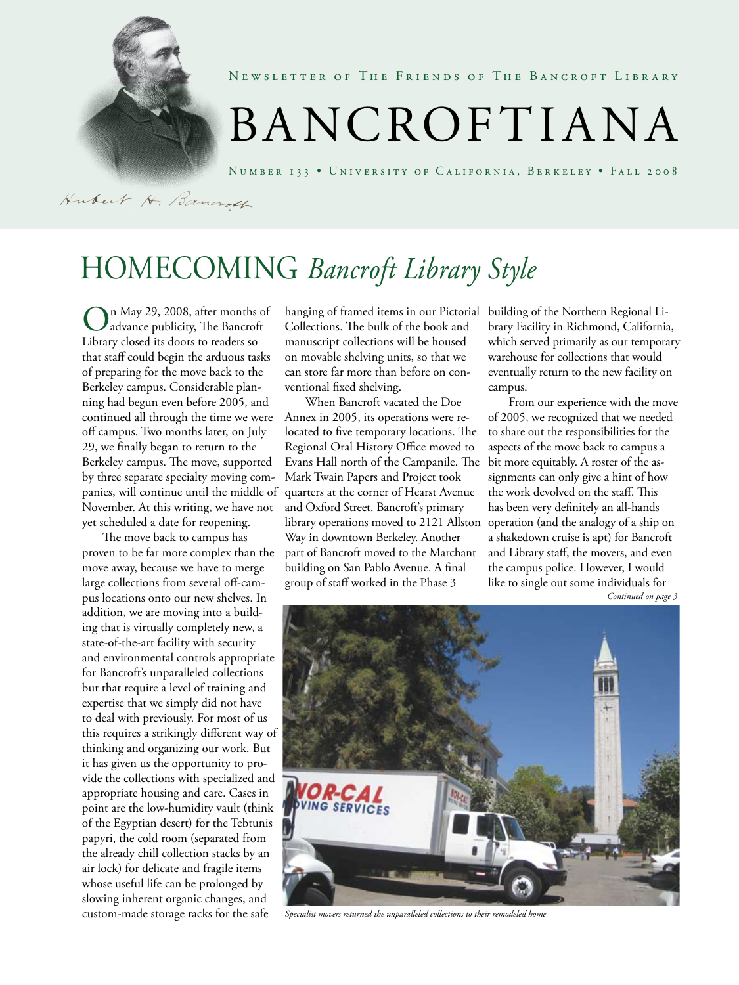

NEWSLETTER OF THE FRIENDS OF THE BANCROFT LIBRARY

# BANCROFTIANA

Number 133 • University of California, Berkeley • Fall 2008

Hubert H. Bancroth

# Homecoming *Bancroft Library Style*

On May 29, 2008, after months of advance publicity, The Bancroft Library closed its doors to readers so that staff could begin the arduous tasks of preparing for the move back to the Berkeley campus. Considerable planning had begun even before 2005, and continued all through the time we were off campus. Two months later, on July 29, we finally began to return to the Berkeley campus. The move, supported by three separate specialty moving companies, will continue until the middle of November. At this writing, we have not yet scheduled a date for reopening.

The move back to campus has proven to be far more complex than the move away, because we have to merge large collections from several off-campus locations onto our new shelves. In addition, we are moving into a building that is virtually completely new, a state-of-the-art facility with security and environmental controls appropriate for Bancroft's unparalleled collections but that require a level of training and expertise that we simply did not have to deal with previously. For most of us this requires a strikingly different way of thinking and organizing our work. But it has given us the opportunity to provide the collections with specialized and appropriate housing and care. Cases in point are the low-humidity vault (think of the Egyptian desert) for the Tebtunis papyri, the cold room (separated from the already chill collection stacks by an air lock) for delicate and fragile items whose useful life can be prolonged by slowing inherent organic changes, and custom-made storage racks for the safe

hanging of framed items in our Pictorial building of the Northern Regional Li-Collections. The bulk of the book and manuscript collections will be housed on movable shelving units, so that we can store far more than before on conventional fixed shelving.

When Bancroft vacated the Doe Annex in 2005, its operations were relocated to five temporary locations. The Regional Oral History Office moved to Evans Hall north of the Campanile. The Mark Twain Papers and Project took quarters at the corner of Hearst Avenue and Oxford Street. Bancroft's primary library operations moved to 2121 Allston operation (and the analogy of a ship on Way in downtown Berkeley. Another part of Bancroft moved to the Marchant building on San Pablo Avenue. A final group of staff worked in the Phase 3

brary Facility in Richmond, California, which served primarily as our temporary warehouse for collections that would eventually return to the new facility on campus.

From our experience with the move of 2005, we recognized that we needed to share out the responsibilities for the aspects of the move back to campus a bit more equitably. A roster of the assignments can only give a hint of how the work devolved on the staff. This has been very definitely an all-hands a shakedown cruise is apt) for Bancroft and Library staff, the movers, and even the campus police. However, I would like to single out some individuals for *Continued on page 3*



*Specialist movers returned the unparalleled collections to their remodeled home*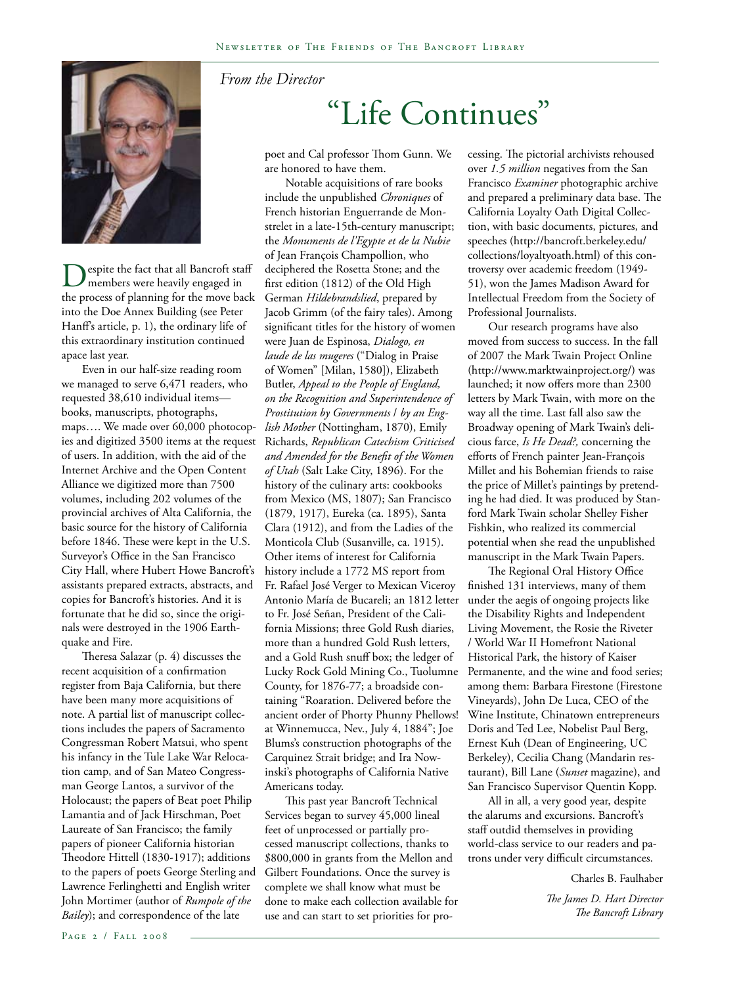

Despite the fact that all Bancroft staff members were heavily engaged in the process of planning for the move back into the Doe Annex Building (see Peter Hanff's article, p. 1), the ordinary life of this extraordinary institution continued apace last year.

Even in our half-size reading room we managed to serve 6,471 readers, who requested 38,610 individual items books, manuscripts, photographs, maps…. We made over 60,000 photocopies and digitized 3500 items at the request of users. In addition, with the aid of the Internet Archive and the Open Content Alliance we digitized more than 7500 volumes, including 202 volumes of the provincial archives of Alta California, the basic source for the history of California before 1846. These were kept in the U.S. Surveyor's Office in the San Francisco City Hall, where Hubert Howe Bancroft's assistants prepared extracts, abstracts, and copies for Bancroft's histories. And it is fortunate that he did so, since the originals were destroyed in the 1906 Earthquake and Fire.

Theresa Salazar (p. 4) discusses the recent acquisition of a confirmation register from Baja California, but there have been many more acquisitions of note. A partial list of manuscript collections includes the papers of Sacramento Congressman Robert Matsui, who spent his infancy in the Tule Lake War Relocation camp, and of San Mateo Congressman George Lantos, a survivor of the Holocaust; the papers of Beat poet Philip Lamantia and of Jack Hirschman, Poet Laureate of San Francisco; the family papers of pioneer California historian Theodore Hittell (1830-1917); additions to the papers of poets George Sterling and Lawrence Ferlinghetti and English writer John Mortimer (author of *Rumpole of the Bailey*); and correspondence of the late

#### *From the Director*

# "Life Continues"

poet and Cal professor Thom Gunn. We are honored to have them.

Notable acquisitions of rare books include the unpublished *Chroniques* of French historian Enguerrande de Monstrelet in a late-15th-century manuscript; the *Monuments de l'Egypte et de la Nubie* of Jean François Champollion, who deciphered the Rosetta Stone; and the first edition (1812) of the Old High German *Hildebrandslied*, prepared by Jacob Grimm (of the fairy tales). Among significant titles for the history of women were Juan de Espinosa, *Dialogo, en laude de las mugeres* ("Dialog in Praise of Women" [Milan, 1580]), Elizabeth Butler, *Appeal to the People of England, on the Recognition and Superintendence of Prostitution by Governments* / *by an English Mother* (Nottingham, 1870), Emily Richards, *Republican Catechism Criticised and Amended for the Benefit of the Women of Utah* (Salt Lake City, 1896). For the history of the culinary arts: cookbooks from Mexico (MS, 1807); San Francisco (1879, 1917), Eureka (ca. 1895), Santa Clara (1912), and from the Ladies of the Monticola Club (Susanville, ca. 1915). Other items of interest for California history include a 1772 MS report from Fr. Rafael José Verger to Mexican Viceroy Antonio María de Bucareli; an 1812 letter to Fr. José Señan, President of the California Missions; three Gold Rush diaries, more than a hundred Gold Rush letters, and a Gold Rush snuff box; the ledger of Lucky Rock Gold Mining Co., Tuolumne County, for 1876-77; a broadside containing "Roaration. Delivered before the ancient order of Phorty Phunny Phellows! at Winnemucca, Nev., July 4, 1884"; Joe Blums's construction photographs of the Carquinez Strait bridge; and Ira Nowinski's photographs of California Native Americans today.

This past year Bancroft Technical Services began to survey 45,000 lineal feet of unprocessed or partially processed manuscript collections, thanks to \$800,000 in grants from the Mellon and Gilbert Foundations. Once the survey is complete we shall know what must be done to make each collection available for use and can start to set priorities for processing. The pictorial archivists rehoused over *1.5 million* negatives from the San Francisco *Examiner* photographic archive and prepared a preliminary data base. The California Loyalty Oath Digital Collection, with basic documents, pictures, and speeches (http://bancroft.berkeley.edu/ collections/loyaltyoath.html) of this controversy over academic freedom (1949- 51), won the James Madison Award for Intellectual Freedom from the Society of Professional Journalists.

Our research programs have also moved from success to success. In the fall of 2007 the Mark Twain Project Online (http://www.marktwainproject.org/) was launched; it now offers more than 2300 letters by Mark Twain, with more on the way all the time. Last fall also saw the Broadway opening of Mark Twain's delicious farce, *Is He Dead?,* concerning the efforts of French painter Jean-François Millet and his Bohemian friends to raise the price of Millet's paintings by pretending he had died. It was produced by Stanford Mark Twain scholar Shelley Fisher Fishkin, who realized its commercial potential when she read the unpublished manuscript in the Mark Twain Papers.

The Regional Oral History Office finished 131 interviews, many of them under the aegis of ongoing projects like the Disability Rights and Independent Living Movement, the Rosie the Riveter / World War II Homefront National Historical Park, the history of Kaiser Permanente, and the wine and food series; among them: Barbara Firestone (Firestone Vineyards), John De Luca, CEO of the Wine Institute, Chinatown entrepreneurs Doris and Ted Lee, Nobelist Paul Berg, Ernest Kuh (Dean of Engineering, UC Berkeley), Cecilia Chang (Mandarin restaurant), Bill Lane (*Sunset* magazine), and San Francisco Supervisor Quentin Kopp.

All in all, a very good year, despite the alarums and excursions. Bancroft's staff outdid themselves in providing world-class service to our readers and patrons under very difficult circumstances.

Charles B. Faulhaber

*The James D. Hart Director The Bancroft Library*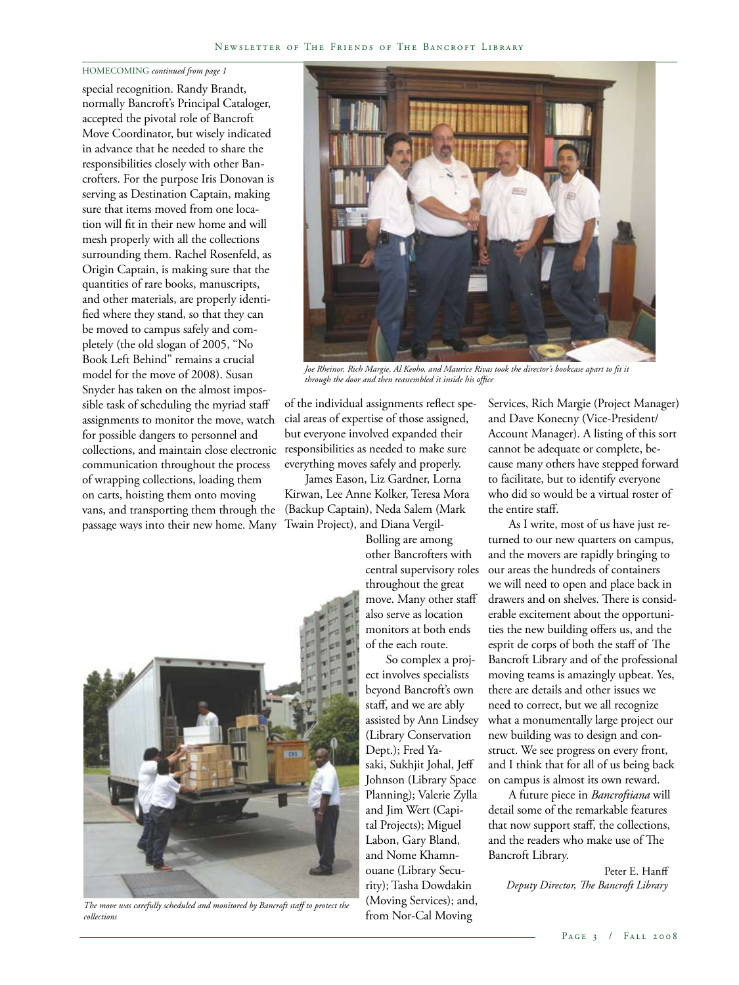#### HOMECOMING *continued from page 1*

special recognition. Randy Brandt, normally Bancroft's Principal Cataloger, accepted the pivotal role of Bancroft Move Coordinator, but wisely indicated in advance that he needed to share the responsibilities closely with other Bancrofters. For the purpose Iris Donovan is serving as Destination Captain, making sure that items moved from one location will fit in their new home and will mesh properly with all the collections surrounding them. Rachel Rosenfeld, as Origin Captain, is making sure that the quantities of rare books, manuscripts, and other materials, are properly identified where they stand, so that they can be moved to campus safely and completely (the old slogan of 2005, "No Book Left Behind" remains a crucial model for the move of 2008). Susan Snyder has taken on the almost impossible task of scheduling the myriad staff assignments to monitor the move, watch for possible dangers to personnel and collections, and maintain close electronic communication throughout the process of wrapping collections, loading them on carts, hoisting them onto moving vans, and transporting them through the passage ways into their new home. Many



*Joe Rheinor, Rich Margie, Al Keoho, and Maurice Rivas took the director's bookcase apart to fit it through the door and then reassembled it inside his office*

of the individual assignments reflect special areas of expertise of those assigned, but everyone involved expanded their responsibilities as needed to make sure everything moves safely and properly.

James Eason, Liz Gardner, Lorna Kirwan, Lee Anne Kolker, Teresa Mora (Backup Captain), Neda Salem (Mark Twain Project), and Diana Vergil-

Bolling are among other Bancrofters with central supervisory roles throughout the great move. Many other staff also serve as location monitors at both ends of the each route.

So complex a project involves specialists beyond Bancroft's own staff, and we are ably assisted by Ann Lindsey (Library Conservation Dept.); Fred Yasaki, Sukhjit Johal, Jeff Johnson (Library Space Planning); Valerie Zylla and Jim Wert (Capital Projects); Miguel Labon, Gary Bland, and Nome Khamnouane (Library Security); Tasha Dowdakin (Moving Services); and, from Nor-Cal Moving

Services, Rich Margie (Project Manager) and Dave Konecny (Vice-President/ Account Manager). A listing of this sort cannot be adequate or complete, because many others have stepped forward to facilitate, but to identify everyone who did so would be a virtual roster of the entire staff.

As I write, most of us have just returned to our new quarters on campus, and the movers are rapidly bringing to our areas the hundreds of containers we will need to open and place back in drawers and on shelves. There is considerable excitement about the opportunities the new building offers us, and the esprit de corps of both the staff of The Bancroft Library and of the professional moving teams is amazingly upbeat. Yes, there are details and other issues we need to correct, but we all recognize what a monumentally large project our new building was to design and construct. We see progress on every front, and I think that for all of us being back on campus is almost its own reward.

A future piece in *Bancroftiana* will detail some of the remarkable features that now support staff, the collections, and the readers who make use of The Bancroft Library.

Peter E. Hanff *Deputy Director, The Bancroft Library*



*The move was carefully scheduled and monitored by Bancroft staff to protect the collections*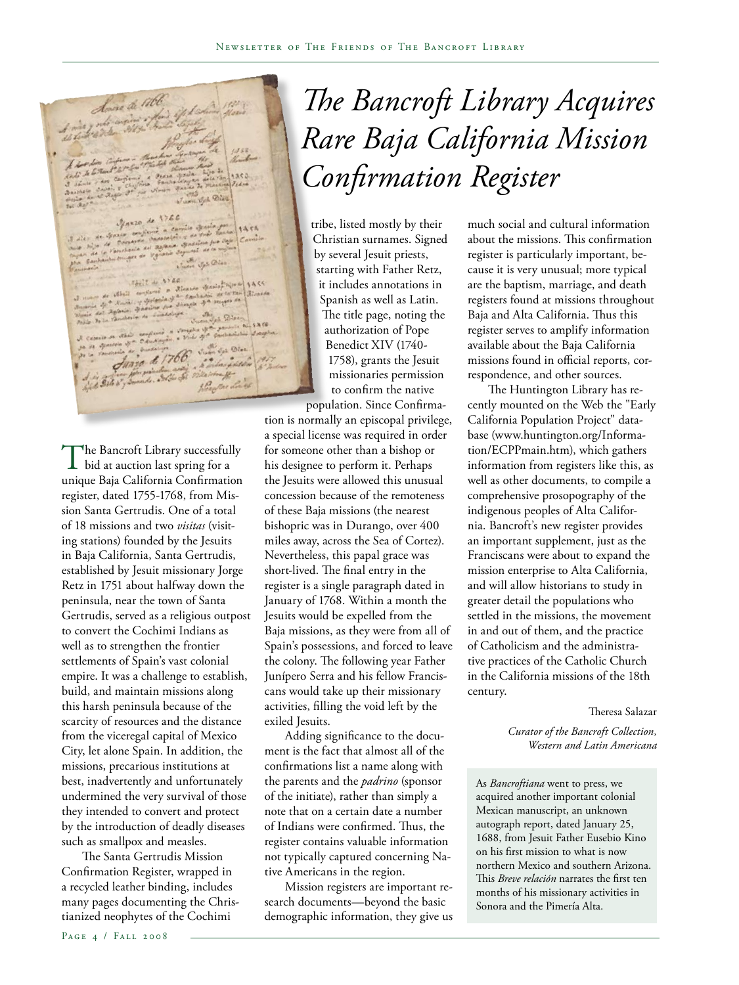Source de 17th Maxzo de Juan Joh Old FALL & AYES

The Bancroft Library successfully<br>bid at auction last spring for a unique Baja California Confirmation register, dated 1755-1768, from Mission Santa Gertrudis. One of a total of 18 missions and two *visitas* (visiting stations) founded by the Jesuits in Baja California, Santa Gertrudis, established by Jesuit missionary Jorge Retz in 1751 about halfway down the peninsula, near the town of Santa Gertrudis, served as a religious outpost to convert the Cochimi Indians as well as to strengthen the frontier settlements of Spain's vast colonial empire. It was a challenge to establish, build, and maintain missions along this harsh peninsula because of the scarcity of resources and the distance from the viceregal capital of Mexico City, let alone Spain. In addition, the missions, precarious institutions at best, inadvertently and unfortunately undermined the very survival of those they intended to convert and protect by the introduction of deadly diseases such as smallpox and measles.

The Santa Gertrudis Mission Confirmation Register, wrapped in a recycled leather binding, includes many pages documenting the Christianized neophytes of the Cochimi

*The Bancroft Library Acquires Rare Baja California Mission Confirmation Register*

tribe, listed mostly by their Christian surnames. Signed by several Jesuit priests, starting with Father Retz, it includes annotations in Spanish as well as Latin. The title page, noting the authorization of Pope Benedict XIV (1740- 1758), grants the Jesuit missionaries permission to confirm the native

population. Since Confirmation is normally an episcopal privilege, a special license was required in order for someone other than a bishop or his designee to perform it. Perhaps the Jesuits were allowed this unusual concession because of the remoteness of these Baja missions (the nearest bishopric was in Durango, over 400 miles away, across the Sea of Cortez). Nevertheless, this papal grace was short-lived. The final entry in the register is a single paragraph dated in January of 1768. Within a month the Jesuits would be expelled from the Baja missions, as they were from all of Spain's possessions, and forced to leave the colony. The following year Father Junípero Serra and his fellow Franciscans would take up their missionary activities, filling the void left by the exiled Jesuits.

Adding significance to the document is the fact that almost all of the confirmations list a name along with the parents and the *padrino* (sponsor of the initiate), rather than simply a note that on a certain date a number of Indians were confirmed. Thus, the register contains valuable information not typically captured concerning Native Americans in the region.

Mission registers are important research documents—beyond the basic demographic information, they give us

much social and cultural information about the missions. This confirmation register is particularly important, because it is very unusual; more typical are the baptism, marriage, and death registers found at missions throughout Baja and Alta California. Thus this register serves to amplify information available about the Baja California missions found in official reports, correspondence, and other sources.

The Huntington Library has recently mounted on the Web the "Early California Population Project" database (www.huntington.org/Information/ECPPmain.htm), which gathers information from registers like this, as well as other documents, to compile a comprehensive prosopography of the indigenous peoples of Alta California. Bancroft's new register provides an important supplement, just as the Franciscans were about to expand the mission enterprise to Alta California, and will allow historians to study in greater detail the populations who settled in the missions, the movement in and out of them, and the practice of Catholicism and the administrative practices of the Catholic Church in the California missions of the 18th century.

Theresa Salazar

*Curator of the Bancroft Collection, Western and Latin Americana*

As *Bancroftiana* went to press, we acquired another important colonial Mexican manuscript, an unknown autograph report, dated January 25, 1688, from Jesuit Father Eusebio Kino on his first mission to what is now northern Mexico and southern Arizona. This *Breve relación* narrates the first ten months of his missionary activities in Sonora and the Pimería Alta.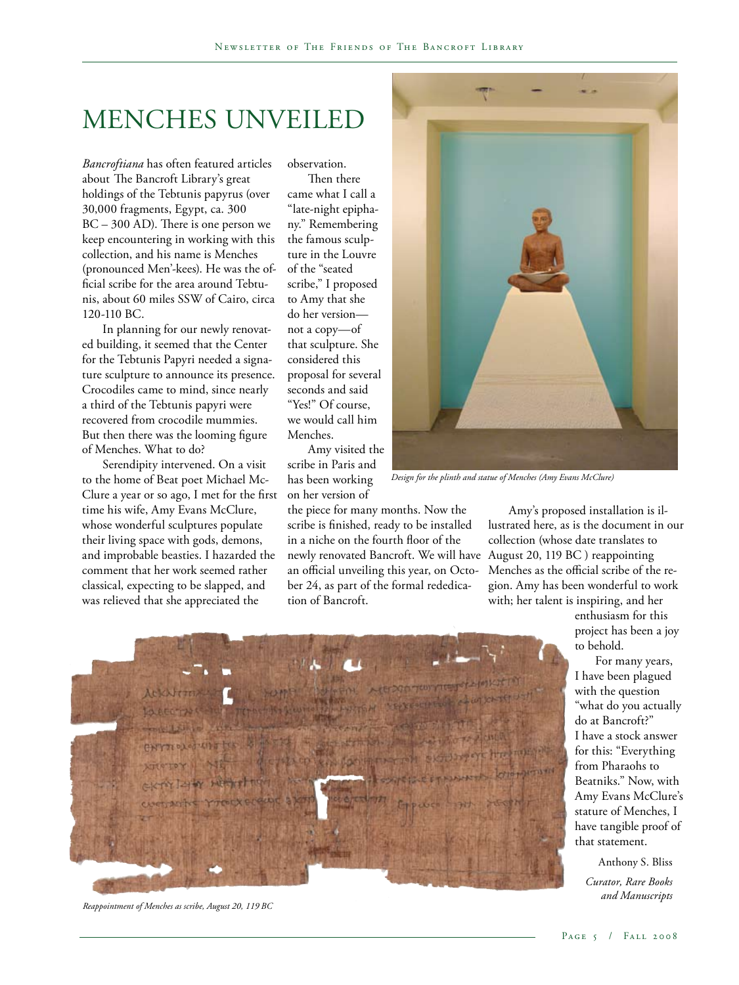### Menches Unveiled

*Bancroftiana* has often featured articles about The Bancroft Library's great holdings of the Tebtunis papyrus (over 30,000 fragments, Egypt, ca. 300 BC – 300 AD). There is one person we keep encountering in working with this collection, and his name is Menches (pronounced Men'-kees). He was the official scribe for the area around Tebtunis, about 60 miles SSW of Cairo, circa 120-110 BC.

In planning for our newly renovated building, it seemed that the Center for the Tebtunis Papyri needed a signature sculpture to announce its presence. Crocodiles came to mind, since nearly a third of the Tebtunis papyri were recovered from crocodile mummies. But then there was the looming figure of Menches. What to do?

Serendipity intervened. On a visit to the home of Beat poet Michael Mc-Clure a year or so ago, I met for the first time his wife, Amy Evans McClure, whose wonderful sculptures populate their living space with gods, demons, and improbable beasties. I hazarded the comment that her work seemed rather classical, expecting to be slapped, and was relieved that she appreciated the

observation.

Then there came what I call a "late-night epiphany." Remembering the famous sculpture in the Louvre of the "seated scribe," I proposed to Amy that she do her version not a copy—of that sculpture. She considered this proposal for several seconds and said "Yes!" Of course, we would call him Menches.

Amy visited the scribe in Paris and has been working on her version of

the piece for many months. Now the scribe is finished, ready to be installed in a niche on the fourth floor of the newly renovated Bancroft. We will have August 20, 119 BC ) reappointing an official unveiling this year, on October 24, as part of the formal rededication of Bancroft.



*Design for the plinth and statue of Menches (Amy Evans McClure)*

Amy's proposed installation is illustrated here, as is the document in our collection (whose date translates to Menches as the official scribe of the region. Amy has been wonderful to work with; her talent is inspiring, and her

> enthusiasm for this project has been a joy to behold.

For many years, I have been plagued with the question "what do you actually do at Bancroft?" I have a stock answer for this: "Everything from Pharaohs to Beatniks." Now, with Amy Evans McClure's stature of Menches, I have tangible proof of that statement.

Anthony S. Bliss

*Curator, Rare Books and Manuscripts*



*Reappointment of Menches as scribe, August 20, 119 BC*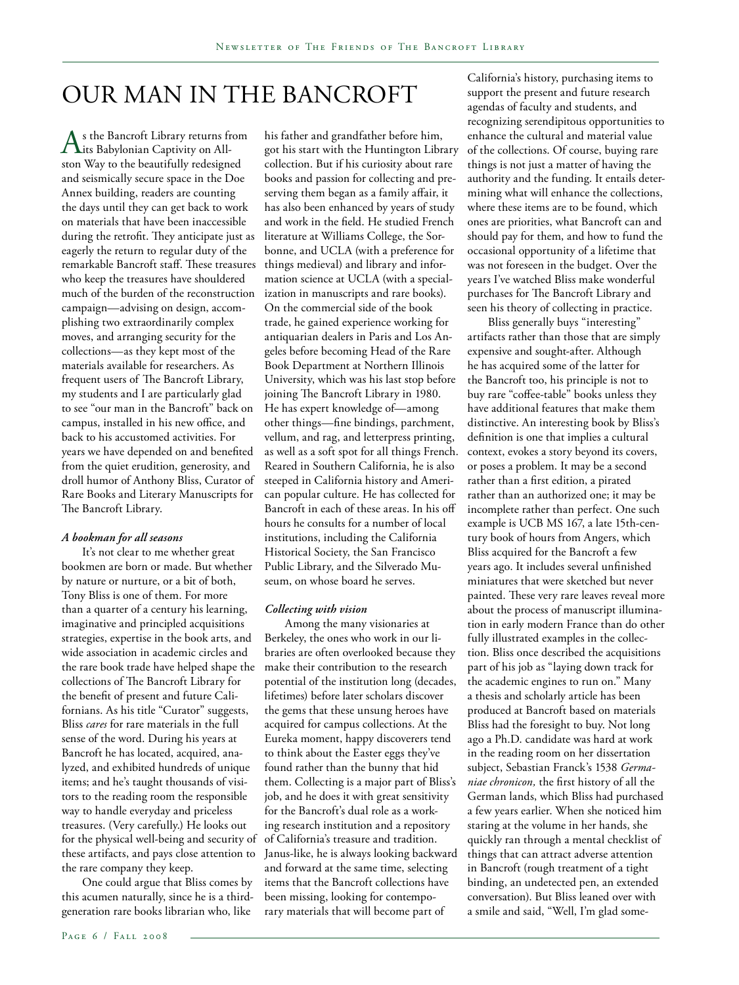### Our Man in the Bancroft

 $A$ s the Bancroft Library returns from<br>
its Babylonian Captivity on Allston Way to the beautifully redesigned and seismically secure space in the Doe Annex building, readers are counting the days until they can get back to work on materials that have been inaccessible during the retrofit. They anticipate just as eagerly the return to regular duty of the remarkable Bancroft staff. These treasures who keep the treasures have shouldered much of the burden of the reconstruction campaign—advising on design, accomplishing two extraordinarily complex moves, and arranging security for the collections—as they kept most of the materials available for researchers. As frequent users of The Bancroft Library, my students and I are particularly glad to see "our man in the Bancroft" back on campus, installed in his new office, and back to his accustomed activities. For years we have depended on and benefited from the quiet erudition, generosity, and droll humor of Anthony Bliss, Curator of Rare Books and Literary Manuscripts for The Bancroft Library.

#### *A bookman for all seasons*

It's not clear to me whether great bookmen are born or made. But whether by nature or nurture, or a bit of both, Tony Bliss is one of them. For more than a quarter of a century his learning, imaginative and principled acquisitions strategies, expertise in the book arts, and wide association in academic circles and the rare book trade have helped shape the collections of The Bancroft Library for the benefit of present and future Californians. As his title "Curator" suggests, Bliss *cares* for rare materials in the full sense of the word. During his years at Bancroft he has located, acquired, analyzed, and exhibited hundreds of unique items; and he's taught thousands of visitors to the reading room the responsible way to handle everyday and priceless treasures. (Very carefully.) He looks out for the physical well-being and security of these artifacts, and pays close attention to the rare company they keep.

One could argue that Bliss comes by this acumen naturally, since he is a thirdgeneration rare books librarian who, like

his father and grandfather before him, got his start with the Huntington Library collection. But if his curiosity about rare books and passion for collecting and preserving them began as a family affair, it has also been enhanced by years of study and work in the field. He studied French literature at Williams College, the Sorbonne, and UCLA (with a preference for things medieval) and library and information science at UCLA (with a specialization in manuscripts and rare books). On the commercial side of the book trade, he gained experience working for antiquarian dealers in Paris and Los Angeles before becoming Head of the Rare Book Department at Northern Illinois University, which was his last stop before joining The Bancroft Library in 1980. He has expert knowledge of—among other things—fine bindings, parchment, vellum, and rag, and letterpress printing, as well as a soft spot for all things French. Reared in Southern California, he is also steeped in California history and American popular culture. He has collected for Bancroft in each of these areas. In his off hours he consults for a number of local institutions, including the California Historical Society, the San Francisco Public Library, and the Silverado Museum, on whose board he serves.

#### *Collecting with vision*

Among the many visionaries at Berkeley, the ones who work in our libraries are often overlooked because they make their contribution to the research potential of the institution long (decades, lifetimes) before later scholars discover the gems that these unsung heroes have acquired for campus collections. At the Eureka moment, happy discoverers tend to think about the Easter eggs they've found rather than the bunny that hid them. Collecting is a major part of Bliss's job, and he does it with great sensitivity for the Bancroft's dual role as a working research institution and a repository of California's treasure and tradition. Janus-like, he is always looking backward and forward at the same time, selecting items that the Bancroft collections have been missing, looking for contemporary materials that will become part of

California's history, purchasing items to support the present and future research agendas of faculty and students, and recognizing serendipitous opportunities to enhance the cultural and material value of the collections. Of course, buying rare things is not just a matter of having the authority and the funding. It entails determining what will enhance the collections, where these items are to be found, which ones are priorities, what Bancroft can and should pay for them, and how to fund the occasional opportunity of a lifetime that was not foreseen in the budget. Over the years I've watched Bliss make wonderful purchases for The Bancroft Library and seen his theory of collecting in practice.

Bliss generally buys "interesting" artifacts rather than those that are simply expensive and sought-after. Although he has acquired some of the latter for the Bancroft too, his principle is not to buy rare "coffee-table" books unless they have additional features that make them distinctive. An interesting book by Bliss's definition is one that implies a cultural context, evokes a story beyond its covers, or poses a problem. It may be a second rather than a first edition, a pirated rather than an authorized one; it may be incomplete rather than perfect. One such example is UCB MS 167, a late 15th-century book of hours from Angers, which Bliss acquired for the Bancroft a few years ago. It includes several unfinished miniatures that were sketched but never painted. These very rare leaves reveal more about the process of manuscript illumination in early modern France than do other fully illustrated examples in the collection. Bliss once described the acquisitions part of his job as "laying down track for the academic engines to run on." Many a thesis and scholarly article has been produced at Bancroft based on materials Bliss had the foresight to buy. Not long ago a Ph.D. candidate was hard at work in the reading room on her dissertation subject, Sebastian Franck's 1538 *Germaniae chronicon,* the first history of all the German lands, which Bliss had purchased a few years earlier. When she noticed him staring at the volume in her hands, she quickly ran through a mental checklist of things that can attract adverse attention in Bancroft (rough treatment of a tight binding, an undetected pen, an extended conversation). But Bliss leaned over with a smile and said, "Well, I'm glad some-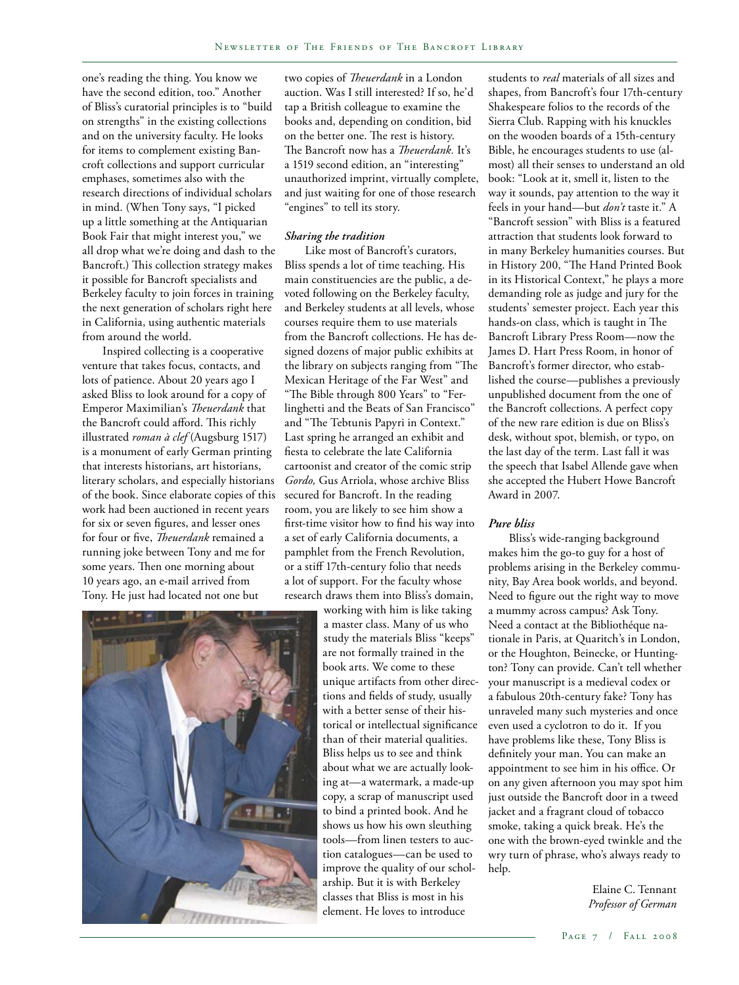one's reading the thing. You know we have the second edition, too." Another of Bliss's curatorial principles is to "build on strengths" in the existing collections and on the university faculty. He looks for items to complement existing Bancroft collections and support curricular emphases, sometimes also with the research directions of individual scholars in mind. (When Tony says, "I picked up a little something at the Antiquarian Book Fair that might interest you," we all drop what we're doing and dash to the Bancroft.) This collection strategy makes it possible for Bancroft specialists and Berkeley faculty to join forces in training the next generation of scholars right here in California, using authentic materials from around the world.

Inspired collecting is a cooperative venture that takes focus, contacts, and lots of patience. About 20 years ago I asked Bliss to look around for a copy of Emperor Maximilian's *Theuerdank* that the Bancroft could afford. This richly illustrated *roman à clef* (Augsburg 1517) is a monument of early German printing that interests historians, art historians, literary scholars, and especially historians of the book. Since elaborate copies of this work had been auctioned in recent years for six or seven figures, and lesser ones for four or five, *Theuerdank* remained a running joke between Tony and me for some years. Then one morning about 10 years ago, an e-mail arrived from Tony. He just had located not one but

two copies of *Theuerdank* in a London auction. Was I still interested? If so, he'd tap a British colleague to examine the books and, depending on condition, bid on the better one. The rest is history. The Bancroft now has a *Theuerdank.* It's a 1519 second edition, an "interesting" unauthorized imprint, virtually complete, and just waiting for one of those research "engines" to tell its story.

#### *Sharing the tradition*

Like most of Bancroft's curators, Bliss spends a lot of time teaching. His main constituencies are the public, a devoted following on the Berkeley faculty, and Berkeley students at all levels, whose courses require them to use materials from the Bancroft collections. He has designed dozens of major public exhibits at the library on subjects ranging from "The Mexican Heritage of the Far West" and "The Bible through 800 Years" to "Ferlinghetti and the Beats of San Francisco" and "The Tebtunis Papyri in Context." Last spring he arranged an exhibit and fiesta to celebrate the late California cartoonist and creator of the comic strip *Gordo,* Gus Arriola, whose archive Bliss secured for Bancroft. In the reading room, you are likely to see him show a first-time visitor how to find his way into a set of early California documents, a pamphlet from the French Revolution, or a stiff 17th-century folio that needs a lot of support. For the faculty whose research draws them into Bliss's domain,

working with him is like taking a master class. Many of us who study the materials Bliss "keeps" are not formally trained in the book arts. We come to these unique artifacts from other directions and fields of study, usually with a better sense of their historical or intellectual significance than of their material qualities. Bliss helps us to see and think about what we are actually looking at—a watermark, a made-up copy, a scrap of manuscript used to bind a printed book. And he shows us how his own sleuthing tools—from linen testers to auction catalogues—can be used to improve the quality of our scholarship. But it is with Berkeley classes that Bliss is most in his element. He loves to introduce

students to *real* materials of all sizes and shapes, from Bancroft's four 17th-century Shakespeare folios to the records of the Sierra Club. Rapping with his knuckles on the wooden boards of a 15th-century Bible, he encourages students to use (almost) all their senses to understand an old book: "Look at it, smell it, listen to the way it sounds, pay attention to the way it feels in your hand—but *don't* taste it." A "Bancroft session" with Bliss is a featured attraction that students look forward to in many Berkeley humanities courses. But in History 200, "The Hand Printed Book in its Historical Context," he plays a more demanding role as judge and jury for the students' semester project. Each year this hands-on class, which is taught in The Bancroft Library Press Room—now the James D. Hart Press Room, in honor of Bancroft's former director, who established the course—publishes a previously unpublished document from the one of the Bancroft collections. A perfect copy of the new rare edition is due on Bliss's desk, without spot, blemish, or typo, on the last day of the term. Last fall it was the speech that Isabel Allende gave when she accepted the Hubert Howe Bancroft Award in 2007.

#### *Pure bliss*

Bliss's wide-ranging background makes him the go-to guy for a host of problems arising in the Berkeley community, Bay Area book worlds, and beyond. Need to figure out the right way to move a mummy across campus? Ask Tony. Need a contact at the Bibliothéque nationale in Paris, at Quaritch's in London, or the Houghton, Beinecke, or Huntington? Tony can provide. Can't tell whether your manuscript is a medieval codex or a fabulous 20th-century fake? Tony has unraveled many such mysteries and once even used a cyclotron to do it. If you have problems like these, Tony Bliss is definitely your man. You can make an appointment to see him in his office. Or on any given afternoon you may spot him just outside the Bancroft door in a tweed jacket and a fragrant cloud of tobacco smoke, taking a quick break. He's the one with the brown-eyed twinkle and the wry turn of phrase, who's always ready to help.

> Elaine C. Tennant *Professor of German*

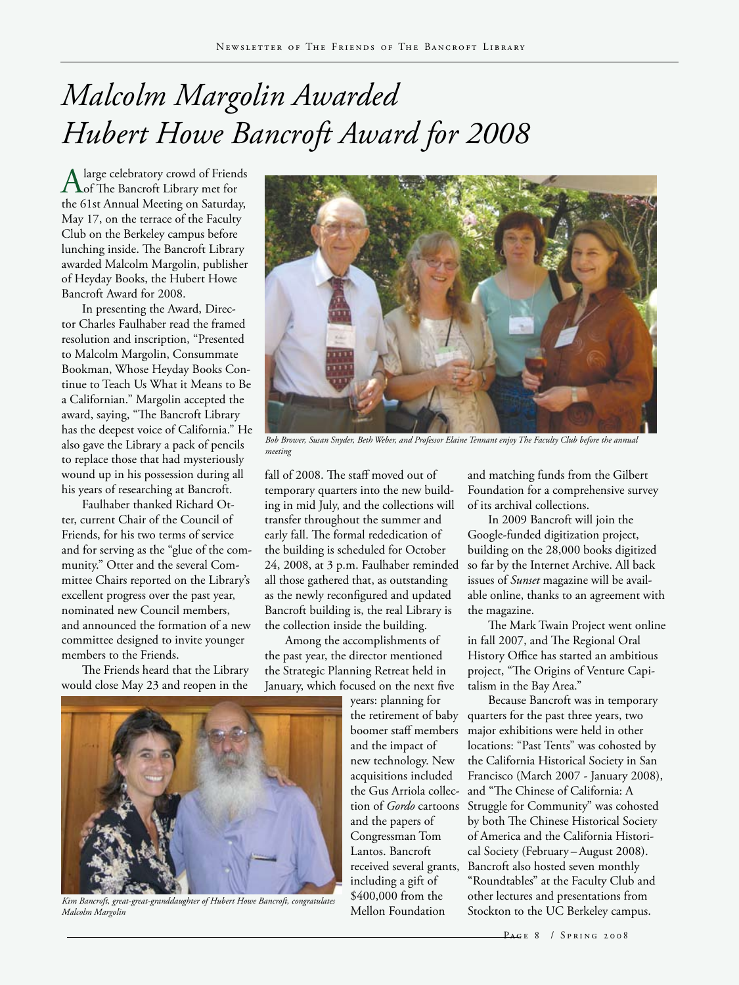# *Malcolm Margolin Awarded Hubert Howe Bancroft Award for 2008*

Alarge celebratory crowd of Friends<br>
of The Bancroft Library met for the 61st Annual Meeting on Saturday, May 17, on the terrace of the Faculty Club on the Berkeley campus before lunching inside. The Bancroft Library awarded Malcolm Margolin, publisher of Heyday Books, the Hubert Howe Bancroft Award for 2008.

In presenting the Award, Director Charles Faulhaber read the framed resolution and inscription, "Presented to Malcolm Margolin, Consummate Bookman, Whose Heyday Books Continue to Teach Us What it Means to Be a Californian." Margolin accepted the award, saying, "The Bancroft Library has the deepest voice of California." He also gave the Library a pack of pencils to replace those that had mysteriously wound up in his possession during all his years of researching at Bancroft.

Faulhaber thanked Richard Otter, current Chair of the Council of Friends, for his two terms of service and for serving as the "glue of the community." Otter and the several Committee Chairs reported on the Library's excellent progress over the past year, nominated new Council members, and announced the formation of a new committee designed to invite younger members to the Friends.

The Friends heard that the Library would close May 23 and reopen in the



*Bob Brower, Susan Snyder, Beth Weber, and Professor Elaine Tennant enjoy The Faculty Club before the annual meeting*

fall of 2008. The staff moved out of temporary quarters into the new building in mid July, and the collections will transfer throughout the summer and early fall. The formal rededication of the building is scheduled for October 24, 2008, at 3 p.m. Faulhaber reminded all those gathered that, as outstanding as the newly reconfigured and updated Bancroft building is, the real Library is the collection inside the building.

Among the accomplishments of the past year, the director mentioned the Strategic Planning Retreat held in January, which focused on the next five

years: planning for and the impact of new technology. New acquisitions included the Gus Arriola collecand the papers of Congressman Tom Lantos. Bancroft received several grants, including a gift of \$400,000 from the Mellon Foundation

and matching funds from the Gilbert Foundation for a comprehensive survey of its archival collections.

In 2009 Bancroft will join the Google-funded digitization project, building on the 28,000 books digitized so far by the Internet Archive. All back issues of *Sunset* magazine will be available online, thanks to an agreement with the magazine.

The Mark Twain Project went online in fall 2007, and The Regional Oral History Office has started an ambitious project, "The Origins of Venture Capitalism in the Bay Area."

the retirement of baby quarters for the past three years, two boomer staff members major exhibitions were held in other tion of *Gordo* cartoons Struggle for Community" was cohosted Because Bancroft was in temporary locations: "Past Tents" was cohosted by the California Historical Society in San Francisco (March 2007 - January 2008), and "The Chinese of California: A by both The Chinese Historical Society of America and the California Historical Society (February – August 2008). Bancroft also hosted seven monthly "Roundtables" at the Faculty Club and other lectures and presentations from Stockton to the UC Berkeley campus.



*Kim Bancroft, great-great-granddaughter of Hubert Howe Bancroft, congratulates Malcolm Margolin*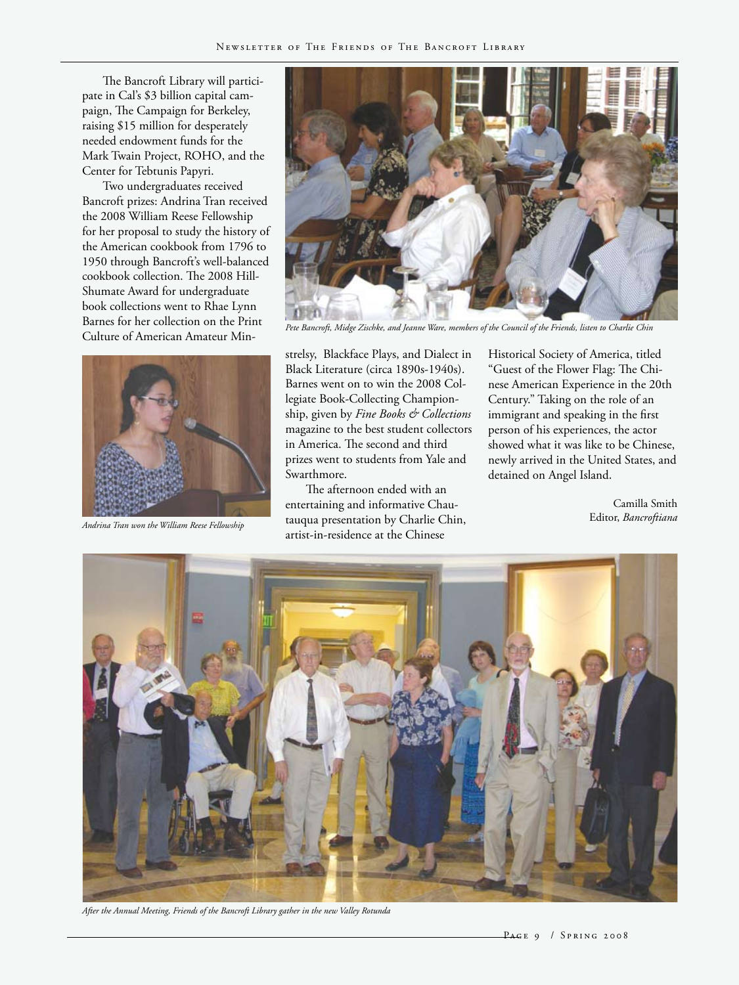The Bancroft Library will participate in Cal's \$3 billion capital campaign, The Campaign for Berkeley, raising \$15 million for desperately needed endowment funds for the Mark Twain Project, ROHO, and the Center for Tebtunis Papyri.

Two undergraduates received Bancroft prizes: Andrina Tran received the 2008 William Reese Fellowship for her proposal to study the history of the American cookbook from 1796 to 1950 through Bancroft's well-balanced cookbook collection. The 2008 Hill-Shumate Award for undergraduate book collections went to Rhae Lynn Barnes for her collection on the Print Culture of American Amateur Min-





*Pete Bancroft, Midge Zischke, and Jeanne Ware, members of the Council of the Friends, listen to Charlie Chin*

strelsy, Blackface Plays, and Dialect in Black Literature (circa 1890s-1940s). Barnes went on to win the 2008 Collegiate Book-Collecting Championship, given by *Fine Books & Collections* magazine to the best student collectors in America. The second and third prizes went to students from Yale and Swarthmore.

The afternoon ended with an entertaining and informative Chautauqua presentation by Charlie Chin, Editor, *Bancroftiana Andrina Tran won the William Reese Fellowship* artist-in-residence at the Chinese

Historical Society of America, titled "Guest of the Flower Flag: The Chinese American Experience in the 20th Century." Taking on the role of an immigrant and speaking in the first person of his experiences, the actor showed what it was like to be Chinese, newly arrived in the United States, and detained on Angel Island.

Camilla Smith



*After the Annual Meeting, Friends of the Bancroft Library gather in the new Valley Rotunda*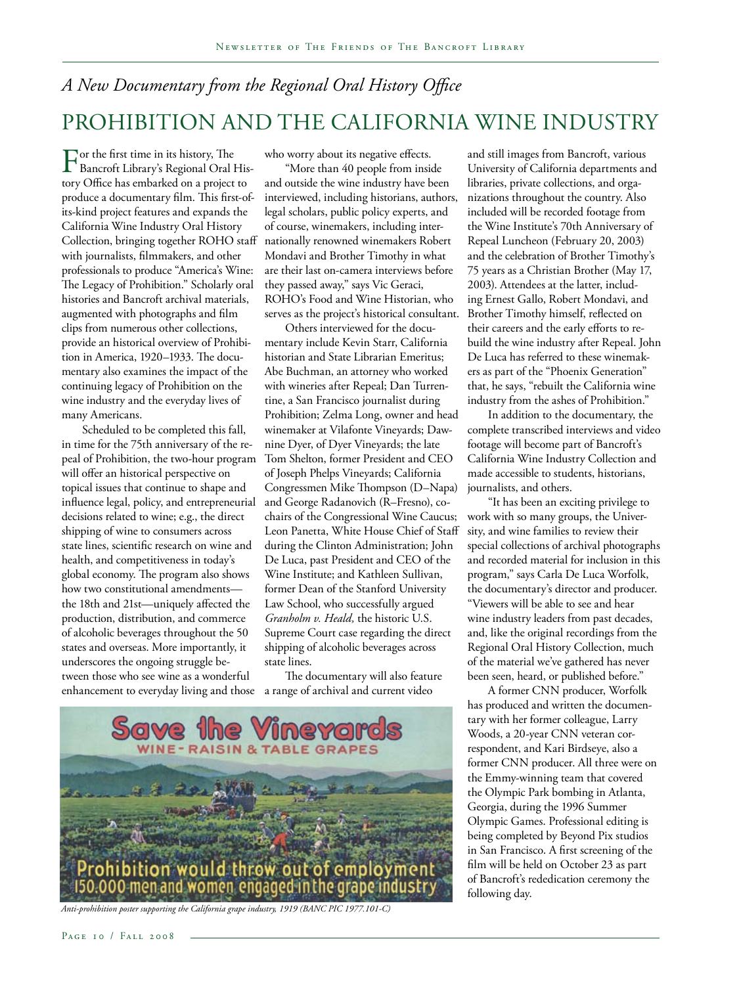### *A New Documentary from the Regional Oral History Office* Prohibition and the California Wine Industry

For the first time in its history, The<br>Bancroft Library's Regional Oral History Office has embarked on a project to produce a documentary film. This first-ofits-kind project features and expands the California Wine Industry Oral History Collection, bringing together ROHO staff with journalists, filmmakers, and other professionals to produce "America's Wine: The Legacy of Prohibition." Scholarly oral histories and Bancroft archival materials, augmented with photographs and film clips from numerous other collections, provide an historical overview of Prohibition in America, 1920–1933. The documentary also examines the impact of the continuing legacy of Prohibition on the wine industry and the everyday lives of many Americans.

Scheduled to be completed this fall, in time for the 75th anniversary of the repeal of Prohibition, the two-hour program will offer an historical perspective on topical issues that continue to shape and influence legal, policy, and entrepreneurial decisions related to wine; e.g., the direct shipping of wine to consumers across state lines, scientific research on wine and health, and competitiveness in today's global economy. The program also shows how two constitutional amendments the 18th and 21st—uniquely affected the production, distribution, and commerce of alcoholic beverages throughout the 50 states and overseas. More importantly, it underscores the ongoing struggle between those who see wine as a wonderful enhancement to everyday living and those

who worry about its negative effects.

"More than 40 people from inside and outside the wine industry have been interviewed, including historians, authors, legal scholars, public policy experts, and of course, winemakers, including internationally renowned winemakers Robert Mondavi and Brother Timothy in what are their last on-camera interviews before they passed away," says Vic Geraci, ROHO's Food and Wine Historian, who serves as the project's historical consultant.

Others interviewed for the documentary include Kevin Starr, California historian and State Librarian Emeritus; Abe Buchman, an attorney who worked with wineries after Repeal; Dan Turrentine, a San Francisco journalist during Prohibition; Zelma Long, owner and head winemaker at Vilafonte Vineyards; Dawnine Dyer, of Dyer Vineyards; the late Tom Shelton, former President and CEO of Joseph Phelps Vineyards; California Congressmen Mike Thompson (D–Napa) and George Radanovich (R–Fresno), cochairs of the Congressional Wine Caucus; Leon Panetta, White House Chief of Staff during the Clinton Administration; John De Luca, past President and CEO of the Wine Institute; and Kathleen Sullivan, former Dean of the Stanford University Law School, who successfully argued *Granholm v. Heald,* the historic U.S. Supreme Court case regarding the direct shipping of alcoholic beverages across state lines.

The documentary will also feature a range of archival and current video



*Anti-prohibition poster supporting the California grape industry, 1919 (BANC PIC 1977.101-C)*

and still images from Bancroft, various University of California departments and libraries, private collections, and organizations throughout the country. Also included will be recorded footage from the Wine Institute's 70th Anniversary of Repeal Luncheon (February 20, 2003) and the celebration of Brother Timothy's 75 years as a Christian Brother (May 17, 2003). Attendees at the latter, including Ernest Gallo, Robert Mondavi, and Brother Timothy himself, reflected on their careers and the early efforts to rebuild the wine industry after Repeal. John De Luca has referred to these winemakers as part of the "Phoenix Generation" that, he says, "rebuilt the California wine industry from the ashes of Prohibition."

In addition to the documentary, the complete transcribed interviews and video footage will become part of Bancroft's California Wine Industry Collection and made accessible to students, historians, journalists, and others.

"It has been an exciting privilege to work with so many groups, the University, and wine families to review their special collections of archival photographs and recorded material for inclusion in this program," says Carla De Luca Worfolk, the documentary's director and producer. "Viewers will be able to see and hear wine industry leaders from past decades, and, like the original recordings from the Regional Oral History Collection, much of the material we've gathered has never been seen, heard, or published before."

A former CNN producer, Worfolk has produced and written the documentary with her former colleague, Larry Woods, a 20-year CNN veteran correspondent, and Kari Birdseye, also a former CNN producer. All three were on the Emmy-winning team that covered the Olympic Park bombing in Atlanta, Georgia, during the 1996 Summer Olympic Games. Professional editing is being completed by Beyond Pix studios in San Francisco. A first screening of the film will be held on October 23 as part of Bancroft's rededication ceremony the following day.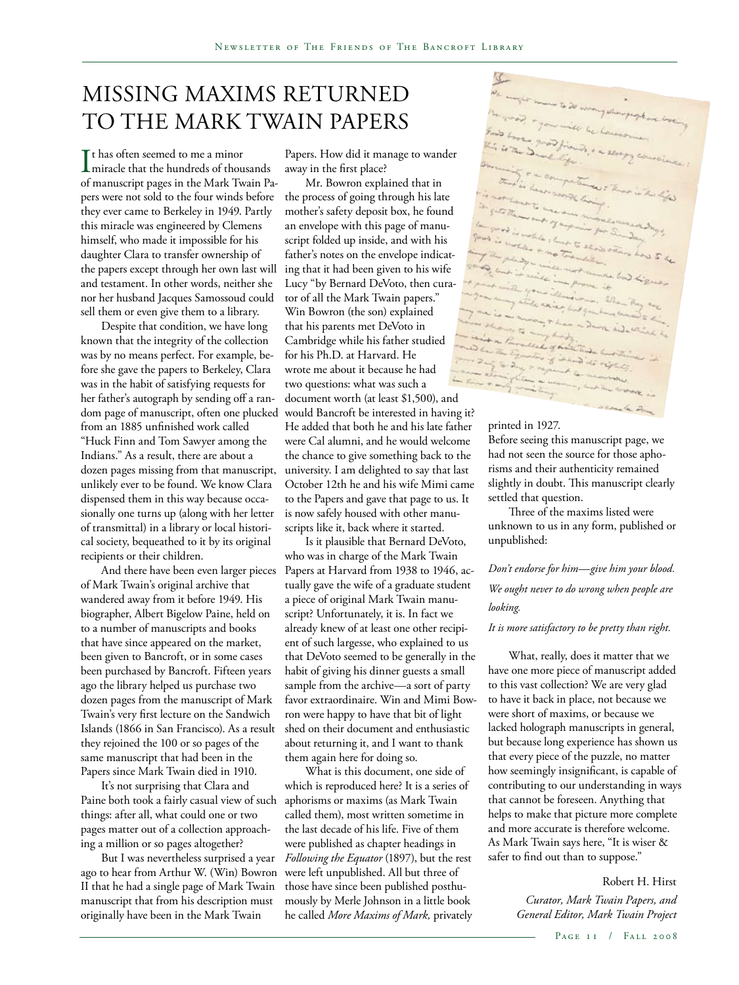### Missing Maxims Returned to the Mark Twain Papers

 $\prod_{\text{mincale}}$  thas often seemed to me a minor miracle that the hundreds of thousands of manuscript pages in the Mark Twain Papers were not sold to the four winds before they ever came to Berkeley in 1949. Partly this miracle was engineered by Clemens himself, who made it impossible for his daughter Clara to transfer ownership of the papers except through her own last will and testament. In other words, neither she nor her husband Jacques Samossoud could sell them or even give them to a library.

Despite that condition, we have long known that the integrity of the collection was by no means perfect. For example, before she gave the papers to Berkeley, Clara was in the habit of satisfying requests for her father's autograph by sending off a random page of manuscript, often one plucked from an 1885 unfinished work called "Huck Finn and Tom Sawyer among the Indians." As a result, there are about a dozen pages missing from that manuscript, unlikely ever to be found. We know Clara dispensed them in this way because occasionally one turns up (along with her letter of transmittal) in a library or local historical society, bequeathed to it by its original recipients or their children.

And there have been even larger pieces of Mark Twain's original archive that wandered away from it before 1949. His biographer, Albert Bigelow Paine, held on to a number of manuscripts and books that have since appeared on the market, been given to Bancroft, or in some cases been purchased by Bancroft. Fifteen years ago the library helped us purchase two dozen pages from the manuscript of Mark Twain's very first lecture on the Sandwich Islands (1866 in San Francisco). As a result they rejoined the 100 or so pages of the same manuscript that had been in the Papers since Mark Twain died in 1910.

It's not surprising that Clara and Paine both took a fairly casual view of such things: after all, what could one or two pages matter out of a collection approaching a million or so pages altogether?

But I was nevertheless surprised a year ago to hear from Arthur W. (Win) Bowron II that he had a single page of Mark Twain manuscript that from his description must originally have been in the Mark Twain

Papers. How did it manage to wander away in the first place?

Mr. Bowron explained that in the process of going through his late mother's safety deposit box, he found an envelope with this page of manuscript folded up inside, and with his father's notes on the envelope indicating that it had been given to his wife Lucy "by Bernard DeVoto, then curator of all the Mark Twain papers." Win Bowron (the son) explained that his parents met DeVoto in Cambridge while his father studied for his Ph.D. at Harvard. He wrote me about it because he had two questions: what was such a document worth (at least \$1,500), and would Bancroft be interested in having it? He added that both he and his late father were Cal alumni, and he would welcome the chance to give something back to the university. I am delighted to say that last October 12th he and his wife Mimi came to the Papers and gave that page to us. It is now safely housed with other manuscripts like it, back where it started.

Is it plausible that Bernard DeVoto, who was in charge of the Mark Twain Papers at Harvard from 1938 to 1946, actually gave the wife of a graduate student a piece of original Mark Twain manuscript? Unfortunately, it is. In fact we already knew of at least one other recipient of such largesse, who explained to us that DeVoto seemed to be generally in the habit of giving his dinner guests a small sample from the archive—a sort of party favor extraordinaire. Win and Mimi Bowron were happy to have that bit of light shed on their document and enthusiastic about returning it, and I want to thank them again here for doing so.

What is this document, one side of which is reproduced here? It is a series of aphorisms or maxims (as Mark Twain called them), most written sometime in the last decade of his life. Five of them were published as chapter headings in *Following the Equator* (1897), but the rest were left unpublished. All but three of those have since been published posthumously by Merle Johnson in a little book he called *More Maxims of Mark,* privately

#### printed in 1927.

Before seeing this manuscript page, we had not seen the source for those aphorisms and their authenticity remained slightly in doubt. This manuscript clearly settled that question.

Three of the maxims listed were unknown to us in any form, published or unpublished:

*Don't endorse for him—give him your blood. We ought never to do wrong when people are looking.*

#### *It is more satisfactory to be pretty than right.*

What, really, does it matter that we have one more piece of manuscript added to this vast collection? We are very glad to have it back in place, not because we were short of maxims, or because we lacked holograph manuscripts in general, but because long experience has shown us that every piece of the puzzle, no matter how seemingly insignificant, is capable of contributing to our understanding in ways that cannot be foreseen. Anything that helps to make that picture more complete and more accurate is therefore welcome. As Mark Twain says here, "It is wiser & safer to find out than to suppose."

> Robert H. Hirst *Curator, Mark Twain Papers, and General Editor, Mark Twain Project*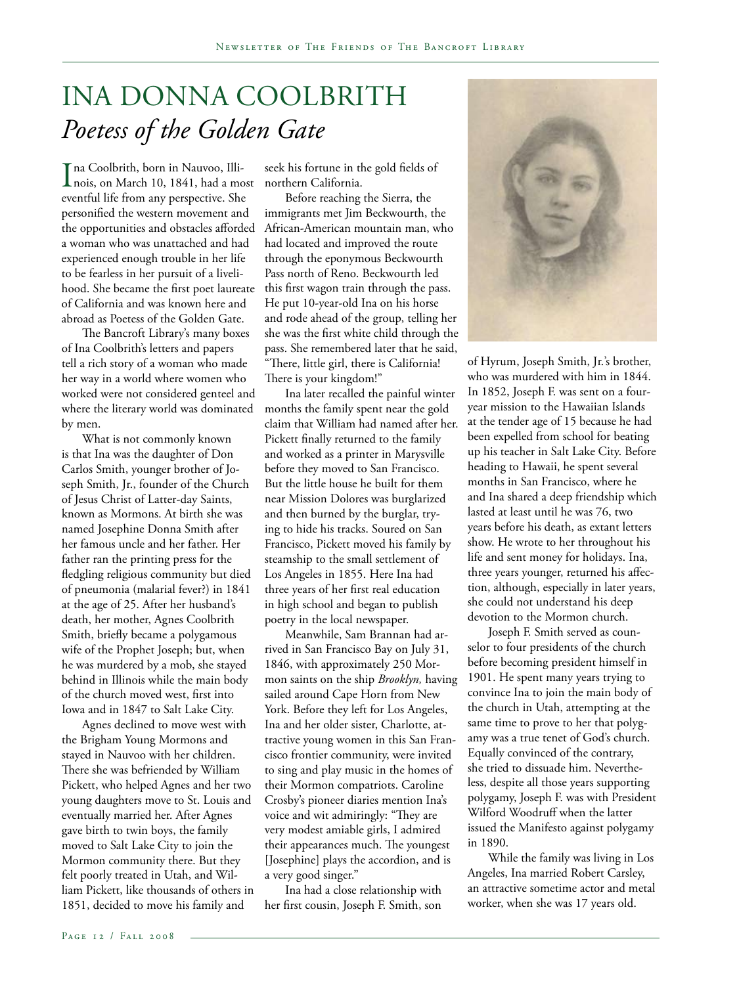### Ina Donna Coolbrith *Poetess of the Golden Gate*

Ina Coolbrith, born in Nauvoo, Illi-<br>nois, on March 10, 1841, had a mo nois, on March 10, 1841, had a most eventful life from any perspective. She personified the western movement and the opportunities and obstacles afforded a woman who was unattached and had experienced enough trouble in her life to be fearless in her pursuit of a livelihood. She became the first poet laureate of California and was known here and abroad as Poetess of the Golden Gate.

The Bancroft Library's many boxes of Ina Coolbrith's letters and papers tell a rich story of a woman who made her way in a world where women who worked were not considered genteel and where the literary world was dominated by men.

What is not commonly known is that Ina was the daughter of Don Carlos Smith, younger brother of Joseph Smith, Jr., founder of the Church of Jesus Christ of Latter-day Saints, known as Mormons. At birth she was named Josephine Donna Smith after her famous uncle and her father. Her father ran the printing press for the fledgling religious community but died of pneumonia (malarial fever?) in 1841 at the age of 25. After her husband's death, her mother, Agnes Coolbrith Smith, briefly became a polygamous wife of the Prophet Joseph; but, when he was murdered by a mob, she stayed behind in Illinois while the main body of the church moved west, first into Iowa and in 1847 to Salt Lake City.

Agnes declined to move west with the Brigham Young Mormons and stayed in Nauvoo with her children. There she was befriended by William Pickett, who helped Agnes and her two young daughters move to St. Louis and eventually married her. After Agnes gave birth to twin boys, the family moved to Salt Lake City to join the Mormon community there. But they felt poorly treated in Utah, and William Pickett, like thousands of others in 1851, decided to move his family and

seek his fortune in the gold fields of northern California.

Before reaching the Sierra, the immigrants met Jim Beckwourth, the African-American mountain man, who had located and improved the route through the eponymous Beckwourth Pass north of Reno. Beckwourth led this first wagon train through the pass. He put 10-year-old Ina on his horse and rode ahead of the group, telling her she was the first white child through the pass. She remembered later that he said, "There, little girl, there is California! There is your kingdom!"

Ina later recalled the painful winter months the family spent near the gold claim that William had named after her. Pickett finally returned to the family and worked as a printer in Marysville before they moved to San Francisco. But the little house he built for them near Mission Dolores was burglarized and then burned by the burglar, trying to hide his tracks. Soured on San Francisco, Pickett moved his family by steamship to the small settlement of Los Angeles in 1855. Here Ina had three years of her first real education in high school and began to publish poetry in the local newspaper.

Meanwhile, Sam Brannan had arrived in San Francisco Bay on July 31, 1846, with approximately 250 Mormon saints on the ship *Brooklyn,* having sailed around Cape Horn from New York. Before they left for Los Angeles, Ina and her older sister, Charlotte, attractive young women in this San Francisco frontier community, were invited to sing and play music in the homes of their Mormon compatriots. Caroline Crosby's pioneer diaries mention Ina's voice and wit admiringly: "They are very modest amiable girls, I admired their appearances much. The youngest [Josephine] plays the accordion, and is a very good singer."

Ina had a close relationship with her first cousin, Joseph F. Smith, son



of Hyrum, Joseph Smith, Jr.'s brother, who was murdered with him in 1844. In 1852, Joseph F. was sent on a fouryear mission to the Hawaiian Islands at the tender age of 15 because he had been expelled from school for beating up his teacher in Salt Lake City. Before heading to Hawaii, he spent several months in San Francisco, where he and Ina shared a deep friendship which lasted at least until he was 76, two years before his death, as extant letters show. He wrote to her throughout his life and sent money for holidays. Ina, three years younger, returned his affection, although, especially in later years, she could not understand his deep devotion to the Mormon church.

Joseph F. Smith served as counselor to four presidents of the church before becoming president himself in 1901. He spent many years trying to convince Ina to join the main body of the church in Utah, attempting at the same time to prove to her that polygamy was a true tenet of God's church. Equally convinced of the contrary, she tried to dissuade him. Nevertheless, despite all those years supporting polygamy, Joseph F. was with President Wilford Woodruff when the latter issued the Manifesto against polygamy in 1890.

While the family was living in Los Angeles, Ina married Robert Carsley, an attractive sometime actor and metal worker, when she was 17 years old.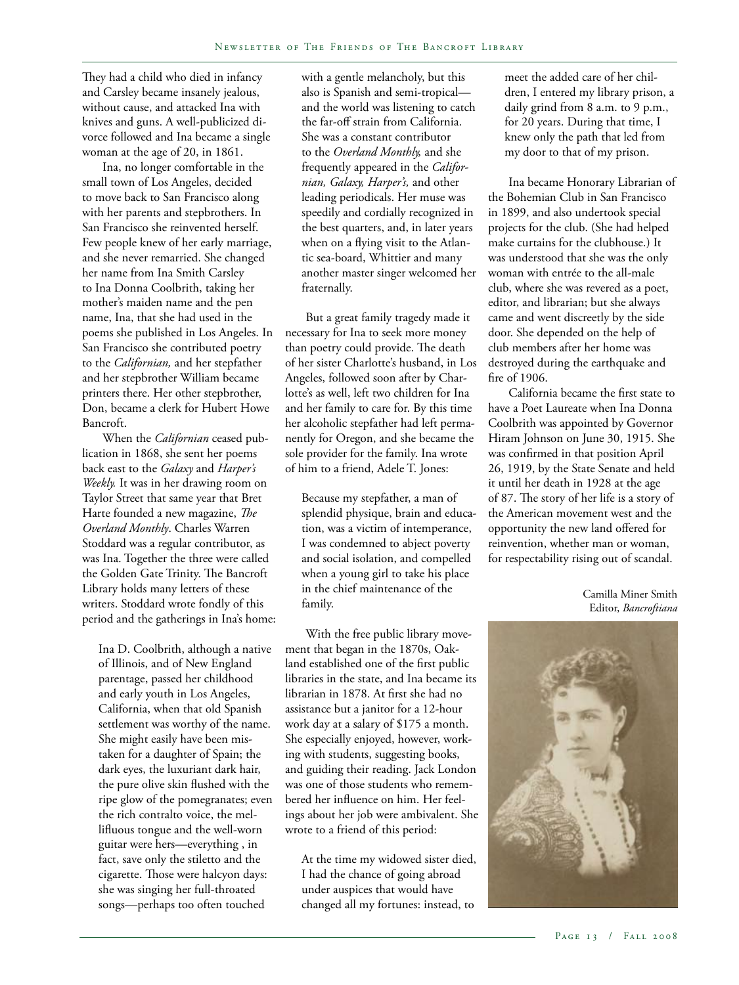They had a child who died in infancy and Carsley became insanely jealous, without cause, and attacked Ina with knives and guns. A well-publicized divorce followed and Ina became a single woman at the age of 20, in 1861.

Ina, no longer comfortable in the small town of Los Angeles, decided to move back to San Francisco along with her parents and stepbrothers. In San Francisco she reinvented herself. Few people knew of her early marriage, and she never remarried. She changed her name from Ina Smith Carsley to Ina Donna Coolbrith, taking her mother's maiden name and the pen name, Ina, that she had used in the poems she published in Los Angeles. In San Francisco she contributed poetry to the *Californian,* and her stepfather and her stepbrother William became printers there. Her other stepbrother, Don, became a clerk for Hubert Howe Bancroft.

When the *Californian* ceased publication in 1868, she sent her poems back east to the *Galaxy* and *Harper's Weekly.* It was in her drawing room on Taylor Street that same year that Bret Harte founded a new magazine, *The Overland Monthly*. Charles Warren Stoddard was a regular contributor, as was Ina. Together the three were called the Golden Gate Trinity. The Bancroft Library holds many letters of these writers. Stoddard wrote fondly of this period and the gatherings in Ina's home:

Ina D. Coolbrith, although a native of Illinois, and of New England parentage, passed her childhood and early youth in Los Angeles, California, when that old Spanish settlement was worthy of the name. She might easily have been mistaken for a daughter of Spain; the dark eyes, the luxuriant dark hair, the pure olive skin flushed with the ripe glow of the pomegranates; even the rich contralto voice, the mellifluous tongue and the well-worn guitar were hers—everything , in fact, save only the stiletto and the cigarette. Those were halcyon days: she was singing her full-throated songs—perhaps too often touched

with a gentle melancholy, but this also is Spanish and semi-tropical and the world was listening to catch the far-off strain from California. She was a constant contributor to the *Overland Monthly,* and she frequently appeared in the *Californian, Galaxy, Harper's,* and other leading periodicals. Her muse was speedily and cordially recognized in the best quarters, and, in later years when on a flying visit to the Atlantic sea-board, Whittier and many another master singer welcomed her fraternally.

But a great family tragedy made it necessary for Ina to seek more money than poetry could provide. The death of her sister Charlotte's husband, in Los Angeles, followed soon after by Charlotte's as well, left two children for Ina and her family to care for. By this time her alcoholic stepfather had left permanently for Oregon, and she became the sole provider for the family. Ina wrote of him to a friend, Adele T. Jones:

Because my stepfather, a man of splendid physique, brain and education, was a victim of intemperance, I was condemned to abject poverty and social isolation, and compelled when a young girl to take his place in the chief maintenance of the family.

With the free public library movement that began in the 1870s, Oakland established one of the first public libraries in the state, and Ina became its librarian in 1878. At first she had no assistance but a janitor for a 12-hour work day at a salary of \$175 a month. She especially enjoyed, however, working with students, suggesting books, and guiding their reading. Jack London was one of those students who remembered her influence on him. Her feelings about her job were ambivalent. She wrote to a friend of this period:

At the time my widowed sister died, I had the chance of going abroad under auspices that would have changed all my fortunes: instead, to

meet the added care of her children, I entered my library prison, a daily grind from 8 a.m. to 9 p.m., for 20 years. During that time, I knew only the path that led from my door to that of my prison.

Ina became Honorary Librarian of the Bohemian Club in San Francisco in 1899, and also undertook special projects for the club. (She had helped make curtains for the clubhouse.) It was understood that she was the only woman with entrée to the all-male club, where she was revered as a poet, editor, and librarian; but she always came and went discreetly by the side door. She depended on the help of club members after her home was destroyed during the earthquake and fire of 1906.

California became the first state to have a Poet Laureate when Ina Donna Coolbrith was appointed by Governor Hiram Johnson on June 30, 1915. She was confirmed in that position April 26, 1919, by the State Senate and held it until her death in 1928 at the age of 87. The story of her life is a story of the American movement west and the opportunity the new land offered for reinvention, whether man or woman, for respectability rising out of scandal.

> Camilla Miner Smith Editor, *Bancroftiana*

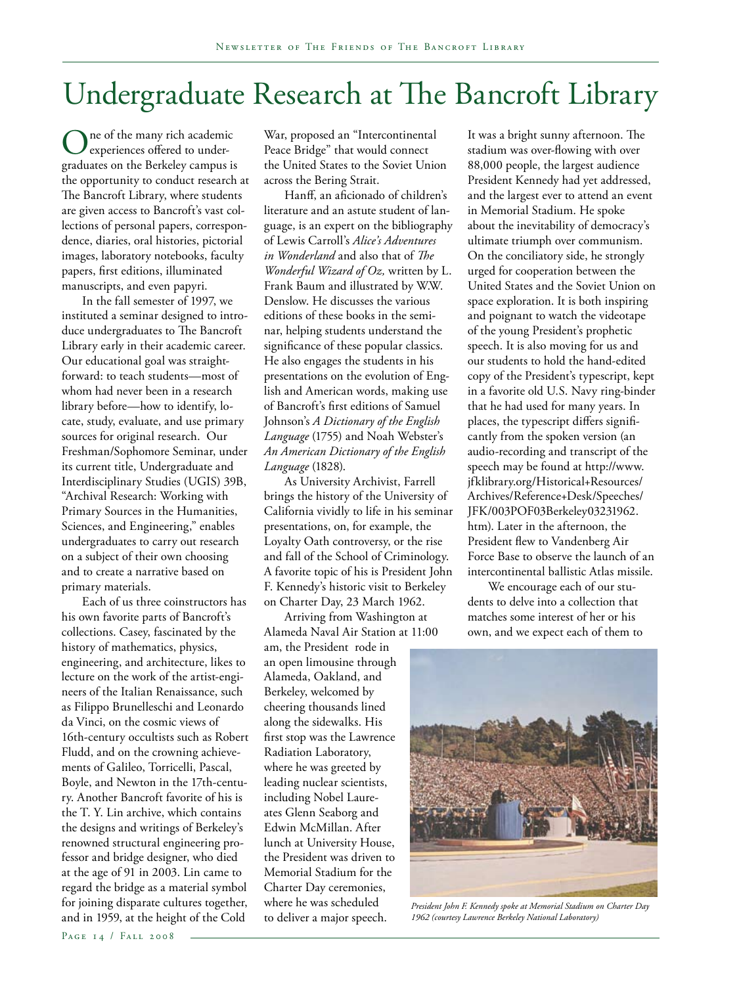## Undergraduate Research at The Bancroft Library

ne of the many rich academic experiences offered to undergraduates on the Berkeley campus is the opportunity to conduct research at The Bancroft Library, where students are given access to Bancroft's vast collections of personal papers, correspondence, diaries, oral histories, pictorial images, laboratory notebooks, faculty papers, first editions, illuminated manuscripts, and even papyri.

In the fall semester of 1997, we instituted a seminar designed to introduce undergraduates to The Bancroft Library early in their academic career. Our educational goal was straightforward: to teach students—most of whom had never been in a research library before—how to identify, locate, study, evaluate, and use primary sources for original research. Our Freshman/Sophomore Seminar, under its current title, Undergraduate and Interdisciplinary Studies (UGIS) 39B, "Archival Research: Working with Primary Sources in the Humanities, Sciences, and Engineering," enables undergraduates to carry out research on a subject of their own choosing and to create a narrative based on primary materials.

Each of us three coinstructors has his own favorite parts of Bancroft's collections. Casey, fascinated by the history of mathematics, physics, engineering, and architecture, likes to lecture on the work of the artist-engineers of the Italian Renaissance, such as Filippo Brunelleschi and Leonardo da Vinci, on the cosmic views of 16th-century occultists such as Robert Fludd, and on the crowning achievements of Galileo, Torricelli, Pascal, Boyle, and Newton in the 17th-century. Another Bancroft favorite of his is the T. Y. Lin archive, which contains the designs and writings of Berkeley's renowned structural engineering professor and bridge designer, who died at the age of 91 in 2003. Lin came to regard the bridge as a material symbol for joining disparate cultures together, and in 1959, at the height of the Cold

Hanff, an aficionado of children's literature and an astute student of language, is an expert on the bibliography of Lewis Carroll's *Alice's Adventures in Wonderland* and also that of *The Wonderful Wizard of Oz,* written by L. Frank Baum and illustrated by W.W. Denslow. He discusses the various editions of these books in the seminar, helping students understand the significance of these popular classics. He also engages the students in his presentations on the evolution of English and American words, making use of Bancroft's first editions of Samuel Johnson's *A Dictionary of the English Language* (1755) and Noah Webster's *An American Dictionary of the English Language* (1828).

As University Archivist, Farrell brings the history of the University of California vividly to life in his seminar presentations, on, for example, the Loyalty Oath controversy, or the rise and fall of the School of Criminology. A favorite topic of his is President John F. Kennedy's historic visit to Berkeley on Charter Day, 23 March 1962.

Arriving from Washington at Alameda Naval Air Station at 11:00

am, the President rode in an open limousine through Alameda, Oakland, and Berkeley, welcomed by cheering thousands lined along the sidewalks. His first stop was the Lawrence Radiation Laboratory, where he was greeted by leading nuclear scientists, including Nobel Laureates Glenn Seaborg and Edwin McMillan. After lunch at University House, the President was driven to Memorial Stadium for the Charter Day ceremonies, where he was scheduled to deliver a major speech.

It was a bright sunny afternoon. The stadium was over-flowing with over 88,000 people, the largest audience President Kennedy had yet addressed, and the largest ever to attend an event in Memorial Stadium. He spoke about the inevitability of democracy's ultimate triumph over communism. On the conciliatory side, he strongly urged for cooperation between the United States and the Soviet Union on space exploration. It is both inspiring and poignant to watch the videotape of the young President's prophetic speech. It is also moving for us and our students to hold the hand-edited copy of the President's typescript, kept in a favorite old U.S. Navy ring-binder that he had used for many years. In places, the typescript differs significantly from the spoken version (an audio-recording and transcript of the speech may be found at http://www. jfklibrary.org/Historical+Resources/ Archives/Reference+Desk/Speeches/ JFK/003POF03Berkeley03231962. htm). Later in the afternoon, the President flew to Vandenberg Air Force Base to observe the launch of an intercontinental ballistic Atlas missile.

We encourage each of our students to delve into a collection that matches some interest of her or his own, and we expect each of them to



*President John F. Kennedy spoke at Memorial Stadium on Charter Day 1962 (courtesy Lawrence Berkeley National Laboratory)*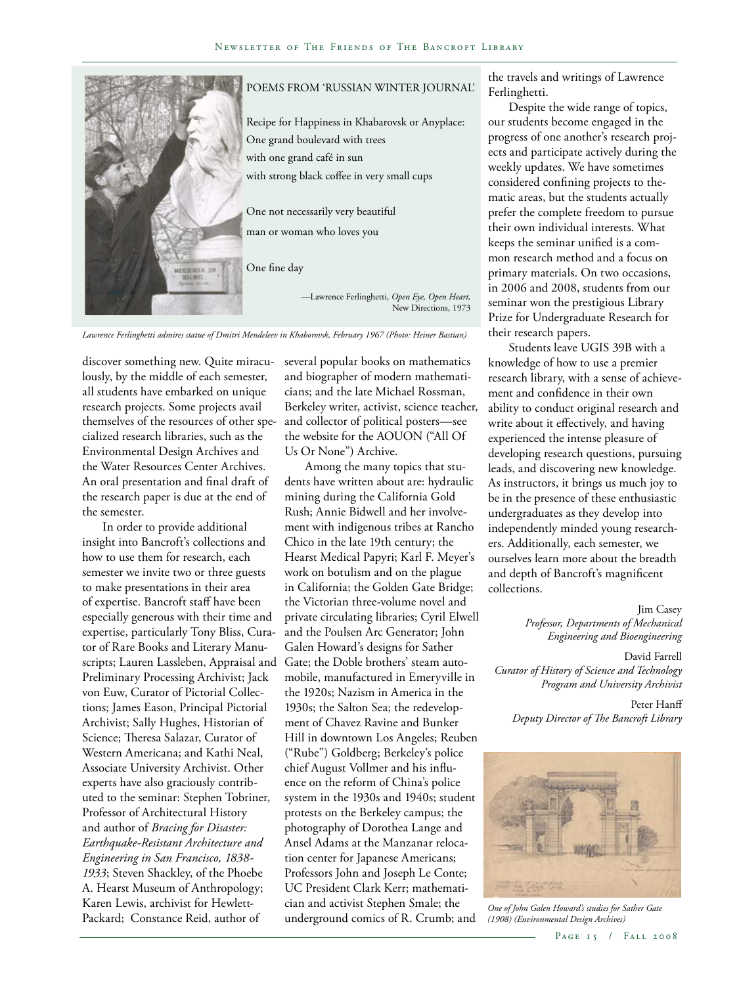

*Lawrence Ferlinghetti admires statue of Dmitri Mendeleev in Khaborovsk, February 1967 (Photo: Heiner Bastian)*

discover something new. Quite miraculously, by the middle of each semester, all students have embarked on unique research projects. Some projects avail themselves of the resources of other specialized research libraries, such as the Environmental Design Archives and the Water Resources Center Archives. An oral presentation and final draft of the research paper is due at the end of the semester.

In order to provide additional insight into Bancroft's collections and how to use them for research, each semester we invite two or three guests to make presentations in their area of expertise. Bancroft staff have been especially generous with their time and expertise, particularly Tony Bliss, Curator of Rare Books and Literary Manuscripts; Lauren Lassleben, Appraisal and Preliminary Processing Archivist; Jack von Euw, Curator of Pictorial Collections; James Eason, Principal Pictorial Archivist; Sally Hughes, Historian of Science; Theresa Salazar, Curator of Western Americana; and Kathi Neal, Associate University Archivist. Other experts have also graciously contributed to the seminar: Stephen Tobriner, Professor of Architectural History and author of *Bracing for Disaster: Earthquake-Resistant Architecture and Engineering in San Francisco, 1838- 1933*; Steven Shackley, of the Phoebe A. Hearst Museum of Anthropology; Karen Lewis, archivist for Hewlett-Packard; Constance Reid, author of

several popular books on mathematics and biographer of modern mathematicians; and the late Michael Rossman, Berkeley writer, activist, science teacher, and collector of political posters—see the website for the AOUON ("All Of Us Or None") Archive.

Among the many topics that students have written about are: hydraulic mining during the California Gold Rush; Annie Bidwell and her involvement with indigenous tribes at Rancho Chico in the late 19th century; the Hearst Medical Papyri; Karl F. Meyer's work on botulism and on the plague in California; the Golden Gate Bridge; the Victorian three-volume novel and private circulating libraries; Cyril Elwell and the Poulsen Arc Generator; John Galen Howard's designs for Sather Gate; the Doble brothers' steam automobile, manufactured in Emeryville in the 1920s; Nazism in America in the 1930s; the Salton Sea; the redevelopment of Chavez Ravine and Bunker Hill in downtown Los Angeles; Reuben ("Rube") Goldberg; Berkeley's police chief August Vollmer and his influence on the reform of China's police system in the 1930s and 1940s; student protests on the Berkeley campus; the photography of Dorothea Lange and Ansel Adams at the Manzanar relocation center for Japanese Americans; Professors John and Joseph Le Conte; UC President Clark Kerr; mathematician and activist Stephen Smale; the underground comics of R. Crumb; and

the travels and writings of Lawrence Ferlinghetti.

Despite the wide range of topics, our students become engaged in the progress of one another's research projects and participate actively during the weekly updates. We have sometimes considered confining projects to thematic areas, but the students actually prefer the complete freedom to pursue their own individual interests. What keeps the seminar unified is a common research method and a focus on primary materials. On two occasions, in 2006 and 2008, students from our seminar won the prestigious Library Prize for Undergraduate Research for their research papers.

Students leave UGIS 39B with a knowledge of how to use a premier research library, with a sense of achievement and confidence in their own ability to conduct original research and write about it effectively, and having experienced the intense pleasure of developing research questions, pursuing leads, and discovering new knowledge. As instructors, it brings us much joy to be in the presence of these enthusiastic undergraduates as they develop into independently minded young researchers. Additionally, each semester, we ourselves learn more about the breadth and depth of Bancroft's magnificent collections.

> Jim Casey *Professor, Departments of Mechanical Engineering and Bioengineering*

David Farrell *Curator of History of Science and Technology Program and University Archivist*

Peter Hanff *Deputy Director of The Bancroft Library*



*One of John Galen Howard's studies for Sather Gate (1908) (Environmental Design Archives)*